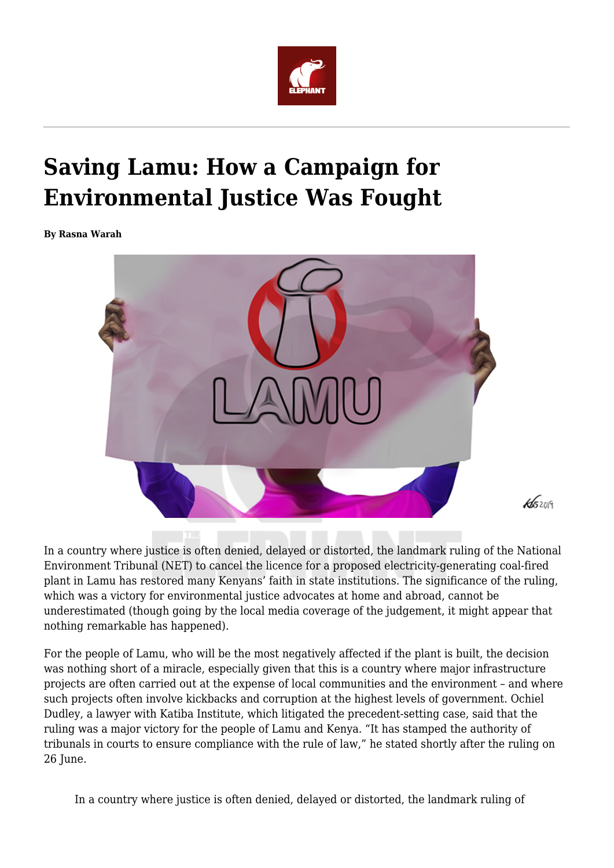

## **Saving Lamu: How a Campaign for Environmental Justice Was Fought**

**By Rasna Warah**



In a country where justice is often denied, delayed or distorted, the landmark ruling of the National Environment Tribunal (NET) to cancel the licence for a proposed electricity-generating coal-fired plant in Lamu has restored many Kenyans' faith in state institutions. The significance of the ruling, which was a victory for environmental justice advocates at home and abroad, cannot be underestimated (though going by the local media coverage of the judgement, it might appear that nothing remarkable has happened).

For the people of Lamu, who will be the most negatively affected if the plant is built, the decision was nothing short of a miracle, especially given that this is a country where major infrastructure projects are often carried out at the expense of local communities and the environment – and where such projects often involve kickbacks and corruption at the highest levels of government. Ochiel Dudley, a lawyer with Katiba Institute, which litigated the precedent-setting case, said that the ruling was a major victory for the people of Lamu and Kenya. "It has stamped the authority of tribunals in courts to ensure compliance with the rule of law," he stated shortly after the ruling on 26 June.

In a country where justice is often denied, delayed or distorted, the landmark ruling of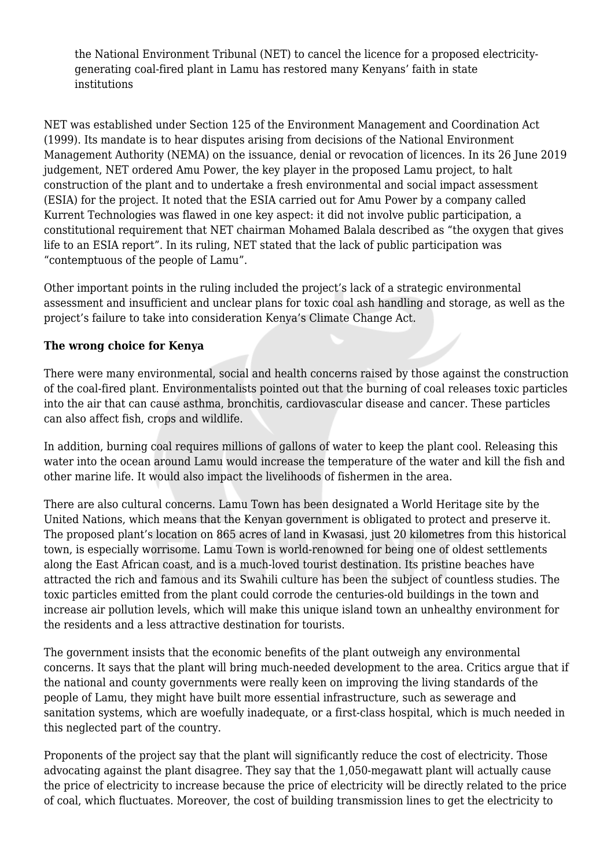the National Environment Tribunal (NET) to cancel the licence for a proposed electricitygenerating coal-fired plant in Lamu has restored many Kenyans' faith in state institutions

NET was established under Section 125 of the Environment Management and Coordination Act (1999). Its mandate is to hear disputes arising from decisions of the National Environment Management Authority (NEMA) on the issuance, denial or revocation of licences. In its 26 June 2019 judgement, NET ordered Amu Power, the key player in the proposed Lamu project, to halt construction of the plant and to undertake a fresh environmental and social impact assessment (ESIA) for the project. It noted that the ESIA carried out for Amu Power by a company called Kurrent Technologies was flawed in one key aspect: it did not involve public participation, a constitutional requirement that NET chairman Mohamed Balala described as "the oxygen that gives life to an ESIA report". In its ruling, NET stated that the lack of public participation was "contemptuous of the people of Lamu".

Other important points in the ruling included the project's lack of a strategic environmental assessment and insufficient and unclear plans for toxic coal ash handling and storage, as well as the project's failure to take into consideration Kenya's Climate Change Act.

## **The wrong choice for Kenya**

There were many environmental, social and health concerns raised by those against the construction of the coal-fired plant. Environmentalists pointed out that the burning of coal releases toxic particles into the air that can cause asthma, bronchitis, cardiovascular disease and cancer. These particles can also affect fish, crops and wildlife.

In addition, burning coal requires millions of gallons of water to keep the plant cool. Releasing this water into the ocean around Lamu would increase the temperature of the water and kill the fish and other marine life. It would also impact the livelihoods of fishermen in the area.

There are also cultural concerns. Lamu Town has been designated a World Heritage site by the United Nations, which means that the Kenyan government is obligated to protect and preserve it. The proposed plant's location on 865 acres of land in Kwasasi, just 20 kilometres from this historical town, is especially worrisome. Lamu Town is world-renowned for being one of oldest settlements along the East African coast, and is a much-loved tourist destination. Its pristine beaches have attracted the rich and famous and its Swahili culture has been the subject of countless studies. The toxic particles emitted from the plant could corrode the centuries-old buildings in the town and increase air pollution levels, which will make this unique island town an unhealthy environment for the residents and a less attractive destination for tourists.

The government insists that the economic benefits of the plant outweigh any environmental concerns. It says that the plant will bring much-needed development to the area. Critics argue that if the national and county governments were really keen on improving the living standards of the people of Lamu, they might have built more essential infrastructure, such as sewerage and sanitation systems, which are woefully inadequate, or a first-class hospital, which is much needed in this neglected part of the country.

Proponents of the project say that the plant will significantly reduce the cost of electricity. Those advocating against the plant disagree. They say that the 1,050-megawatt plant will actually cause the price of electricity to increase because the price of electricity will be directly related to the price of coal, which fluctuates. Moreover, the cost of building transmission lines to get the electricity to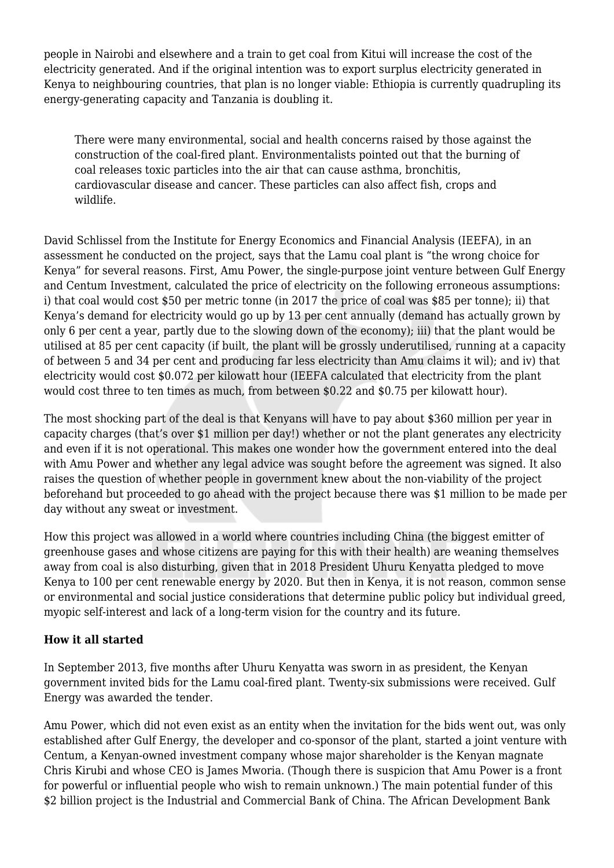people in Nairobi and elsewhere and a train to get coal from Kitui will increase the cost of the electricity generated. And if the original intention was to export surplus electricity generated in Kenya to neighbouring countries, that plan is no longer viable: Ethiopia is currently quadrupling its energy-generating capacity and Tanzania is doubling it.

There were many environmental, social and health concerns raised by those against the construction of the coal-fired plant. Environmentalists pointed out that the burning of coal releases toxic particles into the air that can cause asthma, bronchitis, cardiovascular disease and cancer. These particles can also affect fish, crops and wildlife.

David Schlissel from the Institute for Energy Economics and Financial Analysis (IEEFA), in an assessment he conducted on the project, says that the Lamu coal plant is "the wrong choice for Kenya" for several reasons. First, Amu Power, the single-purpose joint venture between Gulf Energy and Centum Investment, calculated the price of electricity on the following erroneous assumptions: i) that coal would cost \$50 per metric tonne (in 2017 the price of coal was \$85 per tonne); ii) that Kenya's demand for electricity would go up by 13 per cent annually (demand has actually grown by only 6 per cent a year, partly due to the slowing down of the economy); iii) that the plant would be utilised at 85 per cent capacity (if built, the plant will be grossly underutilised, running at a capacity of between 5 and 34 per cent and producing far less electricity than Amu claims it wil); and iv) that electricity would cost \$0.072 per kilowatt hour (IEEFA calculated that electricity from the plant would cost three to ten times as much, from between \$0.22 and \$0.75 per kilowatt hour).

The most shocking part of the deal is that Kenyans will have to pay about \$360 million per year in capacity charges (that's over \$1 million per day!) whether or not the plant generates any electricity and even if it is not operational. This makes one wonder how the government entered into the deal with Amu Power and whether any legal advice was sought before the agreement was signed. It also raises the question of whether people in government knew about the non-viability of the project beforehand but proceeded to go ahead with the project because there was \$1 million to be made per day without any sweat or investment.

How this project was allowed in a world where countries including China (the biggest emitter of greenhouse gases and whose citizens are paying for this with their health) are weaning themselves away from coal is also disturbing, given that in 2018 President Uhuru Kenyatta pledged to move Kenya to 100 per cent renewable energy by 2020. But then in Kenya, it is not reason, common sense or environmental and social justice considerations that determine public policy but individual greed, myopic self-interest and lack of a long-term vision for the country and its future.

## **How it all started**

In September 2013, five months after Uhuru Kenyatta was sworn in as president, the Kenyan government invited bids for the Lamu coal-fired plant. Twenty-six submissions were received. Gulf Energy was awarded the tender.

Amu Power, which did not even exist as an entity when the invitation for the bids went out, was only established after Gulf Energy, the developer and co-sponsor of the plant, started a joint venture with Centum, a Kenyan-owned investment company whose major shareholder is the Kenyan magnate Chris Kirubi and whose CEO is James Mworia. (Though there is suspicion that Amu Power is a front for powerful or influential people who wish to remain unknown.) The main potential funder of this \$2 billion project is the Industrial and Commercial Bank of China. The African Development Bank